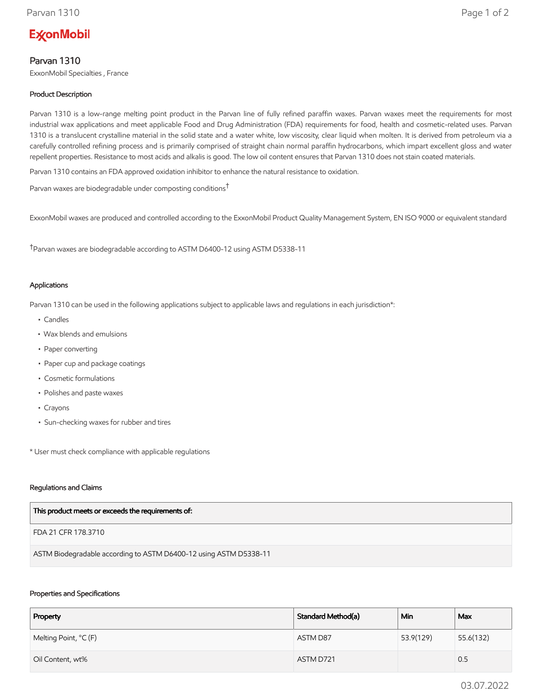# **ExconMobil**

# Parvan 1310

ExxonMobil Specialties , France

## Product Description

Parvan 1310 is a low-range melting point product in the Parvan line of fully refined paraffin waxes. Parvan waxes meet the requirements for most industrial wax applications and meet applicable Food and Drug Administration (FDA) requirements for food, health and cosmetic-related uses. Parvan 1310 is a translucent crystalline material in the solid state and a water white, low viscosity, clear liquid when molten. It is derived from petroleum via a carefully controlled refining process and is primarily comprised of straight chain normal paraffin hydrocarbons, which impart excellent gloss and water repellent properties. Resistance to most acids and alkalis is good. The low oil content ensures that Parvan 1310 does not stain coated materials.

Parvan 1310 contains an FDA approved oxidation inhibitor to enhance the natural resistance to oxidation.

Parvan waxes are biodegradable under composting conditions†

ExxonMobil waxes are produced and controlled according to the ExxonMobil Product Quality Management System, EN ISO 9000 or equivalent standard

†Parvan waxes are biodegradable according to ASTM D6400-12 using ASTM D5338-11

#### Applications

Parvan 1310 can be used in the following applications subject to applicable laws and regulations in each jurisdiction\*:

- Candles
- Wax blends and emulsions
- Paper converting
- Paper cup and package coatings
- Cosmetic formulations
- Polishes and paste waxes
- Crayons
- Sun-checking waxes for rubber and tires

\* User must check compliance with applicable regulations

#### Regulations and Claims

FDA 21 CFR 178.3710

ASTM Biodegradable according to ASTM D6400-12 using ASTM D5338-11

#### Properties and Specifications

| Property              | Standard Method(a) | Min       | Max       |
|-----------------------|--------------------|-----------|-----------|
| Melting Point, °C (F) | ASTM D87           | 53.9(129) | 55.6(132) |
| Oil Content, wt%      | ASTM D721          |           | 0.5       |